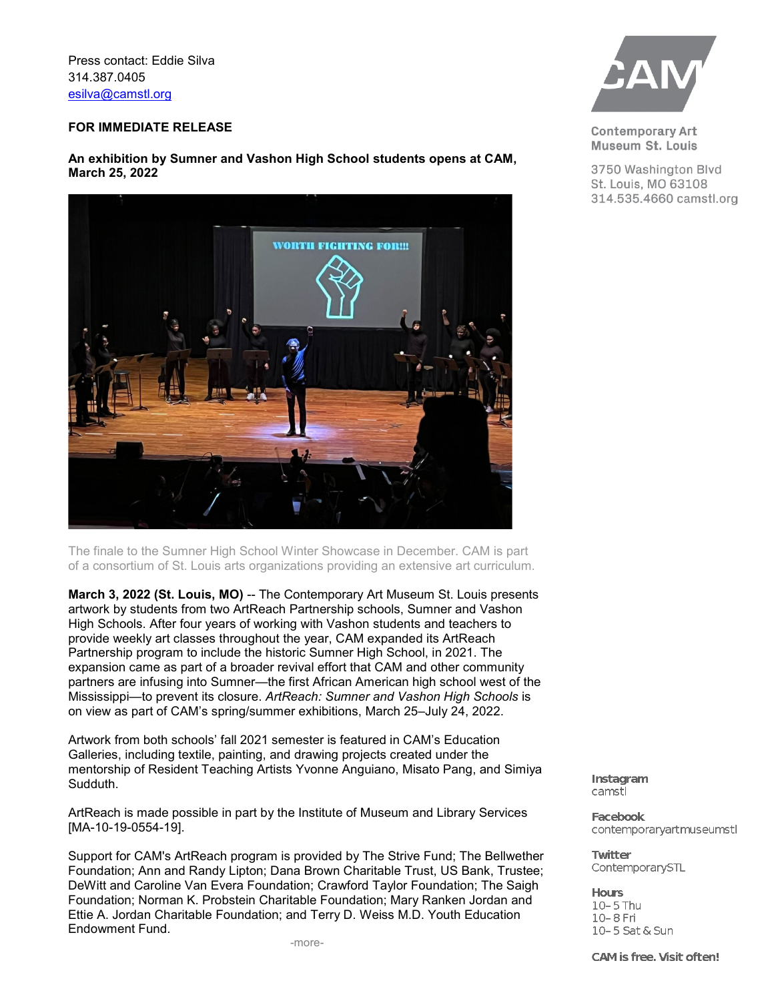Press contact: Eddie Silva 314.387.0405 [esilva@camstl.org](mailto:esilva@camstl.org)

## **FOR IMMEDIATE RELEASE**

**An exhibition by Sumner and Vashon High School students opens at CAM, March 25, 2022**



The finale to the Sumner High School Winter Showcase in December. CAM is part of a consortium of St. Louis arts organizations providing an extensive art curriculum.

**March 3, 2022 (St. Louis, MO)** -- The Contemporary Art Museum St. Louis presents artwork by students from two ArtReach Partnership schools, Sumner and Vashon High Schools. After four years of working with Vashon students and teachers to provide weekly art classes throughout the year, CAM expanded its ArtReach Partnership program to include the historic Sumner High School, in 2021. The expansion came as part of a broader revival effort that CAM and other community partners are infusing into Sumner—the first African American high school west of the Mississippi—to prevent its closure. *ArtReach: Sumner and Vashon High Schools* is on view as part of CAM's spring/summer exhibitions, March 25–July 24, 2022.

Artwork from both schools' fall 2021 semester is featured in CAM's Education Galleries, including textile, painting, and drawing projects created under the mentorship of Resident Teaching Artists Yvonne Anguiano, Misato Pang, and Simiya Sudduth.

ArtReach is made possible in part by the Institute of Museum and Library Services [MA-10-19-0554-19].

Support for CAM's ArtReach program is provided by The Strive Fund; The Bellwether Foundation; Ann and Randy Lipton; Dana Brown Charitable Trust, US Bank, Trustee; DeWitt and Caroline Van Evera Foundation; Crawford Taylor Foundation; The Saigh Foundation; Norman K. Probstein Charitable Foundation; Mary Ranken Jordan and Ettie A. Jordan Charitable Foundation; and Terry D. Weiss M.D. Youth Education Endowment Fund.



**Contemporary Art** Museum St. Louis

3750 Washington Blvd St. Louis, MO 63108 314.535.4660 camstl.org

Instagram camstl

**Facebook** contemporaryartmuseumstl

**Twitter** ContemporarySTL

**Hours** 10-5 Thu 10-8 Fri 10-5 Sat & Sun

CAM is free. Visit often!